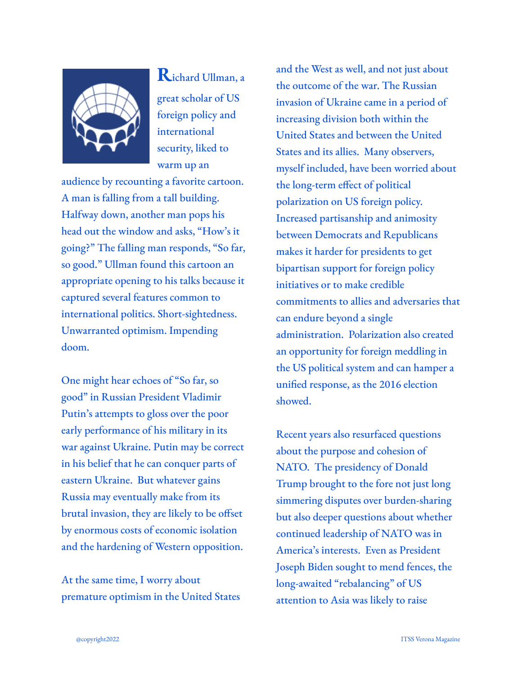

**R**ichard Ullman, <sup>a</sup> great scholar of US foreign policy and international security, liked to warm up an

audience by recounting a favorite cartoon. A man is falling from a tall building. Halfway down, another man pops his head out the window and asks, "How's it going?" The falling man responds, "So far, so good." Ullman found this cartoon an appropriate opening to his talks because it captured several features common to international politics. Short-sightedness. Unwarranted optimism. Impending doom.

One might hear echoes of "So far, so good" in Russian President Vladimir Putin's attempts to gloss over the poor early performance of his military in its war against Ukraine. Putin may be correct in his belief that he can conquer parts of eastern Ukraine. But whatever gains Russia may eventually make from its brutal invasion, they are likely to be offset by enormous costs of economic isolation and the hardening of Western opposition.

At the same time, I worry about premature optimism in the United States and the West as well, and not just about the outcome of the war. The Russian invasion of Ukraine came in a period of increasing division both within the United States and between the United States and its allies. Many observers, myself included, have been worried about the long-term effect of political polarization on US foreign policy. Increased partisanship and animosity between Democrats and Republicans makes it harder for presidents to get bipartisan support for foreign policy initiatives or to make credible commitments to allies and adversaries that can endure beyond a single administration. Polarization also created an opportunity for foreign meddling in the US political system and can hamper a unified response, as the 2016 election showed.

Recent years also resurfaced questions about the purpose and cohesion of NATO. The presidency of Donald Trump brought to the fore not just long simmering disputes over burden-sharing but also deeper questions about whether continued leadership of NATO was in America's interests. Even as President Joseph Biden sought to mend fences, the long-awaited "rebalancing" of US attention to Asia was likely to raise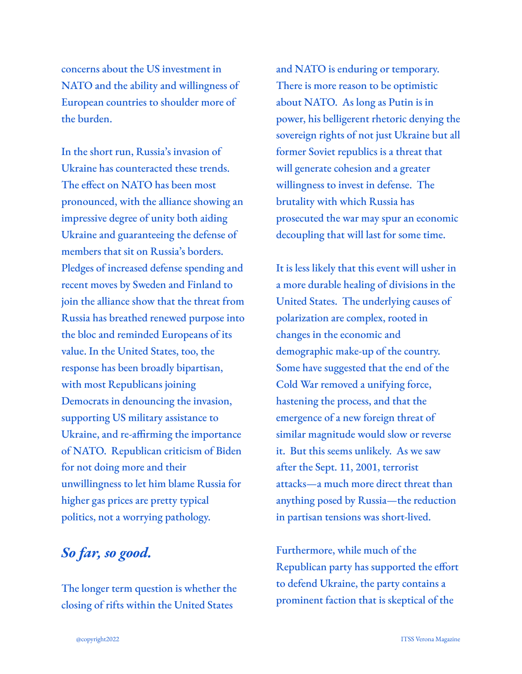concerns about the US investment in NATO and the ability and willingness of European countries to shoulder more of the burden.

In the short run, Russia's invasion of Ukraine has counteracted these trends. The effect on NATO has been most pronounced, with the alliance showing an impressive degree of unity both aiding Ukraine and guaranteeing the defense of members that sit on Russia's borders. Pledges of increased defense spending and recent moves by Sweden and Finland to join the alliance show that the threat from Russia has breathed renewed purpose into the bloc and reminded Europeans of its value. In the United States, too, the response has been broadly bipartisan, with most Republicans joining Democrats in denouncing the invasion, supporting US military assistance to Ukraine, and re-affirming the importance of NATO. Republican criticism of Biden for not doing more and their unwillingness to let him blame Russia for higher gas prices are pretty typical politics, not a worrying pathology.

## *So far, so good.*

The longer term question is whether the closing of rifts within the United States

and NATO is enduring or temporary. There is more reason to be optimistic about NATO. As long as Putin is in power, his belligerent rhetoric denying the sovereign rights of not just Ukraine but all former Soviet republics is a threat that will generate cohesion and a greater willingness to invest in defense. The brutality with which Russia has prosecuted the war may spur an economic decoupling that will last for some time.

It is less likely that this event will usher in a more durable healing of divisions in the United States. The underlying causes of polarization are complex, rooted in changes in the economic and demographic make-up of the country. Some have suggested that the end of the Cold War removed a unifying force, hastening the process, and that the emergence of a new foreign threat of similar magnitude would slow or reverse it. But this seems unlikely. As we saw after the Sept. 11, 2001, terrorist attacks—a much more direct threat than anything posed by Russia—the reduction in partisan tensions was short-lived.

Furthermore, while much of the Republican party has supported the effort to defend Ukraine, the party contains a prominent faction that is skeptical of the